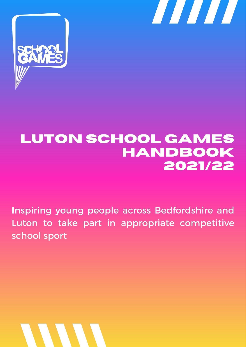



# **LUTON SCHOOL GAMES HANDBOOK** 2021/22

Inspiring young people across Bedfordshire and Luton to take part in appropriate competitive school sport

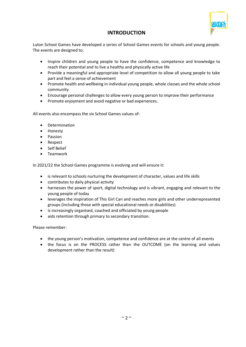

# **INTRODUCTION**

Luton School Games have developed a series of School Games events for schools and young people. The events are designed to:

- Inspire children and young people to have the confidence, competence and knowledge to reach their potential and to live a healthy and physically active life
- Provide a meaningful and appropriate level of competition to allow all young people to take part and feel a sense of achievement
- Promote health and wellbeing in individual young people, whole classes and the whole school community
- Encourage personal challenges to allow every young person to improve their performance
- Promote enjoyment and avoid negative or bad experiences.

All events also encompass the six School Games values of:

- Determination
- Honesty
- Passion
- Respect
- Self Belief
- Teamwork

In 2021/22 the School Games programme is evolving and will ensure it:

- is relevant to schools nurturing the development of character, values and life skills
- contributes to daily physical activity
- harnesses the power of sport, digital technology and is vibrant, engaging and relevant to the young people of today
- leverages the inspiration of This Girl Can and reaches more girls and other underrepresented groups (including those with special educational needs or disabilities)
- is increasingly organised, coached and officiated by young people
- aids retention through primary to secondary transition.

Please remember:

- the young person's motivation, competence and confidence are at the centre of all events
- the focus is on the PROCESS rather than the OUTCOME (on the learning and values development rather than the result)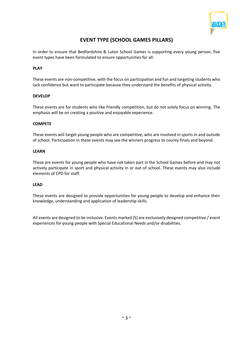

# **EVENT TYPE (SCHOOL GAMES PILLARS)**

In order to ensure that Bedfordshire & Luton School Games is supporting every young person, five event types have been formulated to ensure opportunities for all:

### **PLAY**

These events are non-competitive, with the focus on participation and fun and targeting students who lack confidence but want to participate because they understand the benefits of physical activity.

### **DEVELOP**

These events are for students who like friendly competition, but do not solely focus on winning. The emphasis will be on creating a positive and enjoyable experience.

### **COMPETE**

These events will target young people who are competitive, who are involved in sports in and outside of school. Participation in these events may see the winners progress to county finals and beyond.

### **LEARN**

These are events for young people who have not taken part in the School Games before and may not actively participate in sport and physical activity in or out of school. These events may also include elements of CPD for staff.

### **LEAD**

These events are designed to provide opportunities for young people to develop and enhance their knowledge, understanding and application of leadership skills.

All events are designed to be inclusive. Events marked (S) are exclusively designed competitive / event experiences for young people with Special Educational Needs and/or disabilities.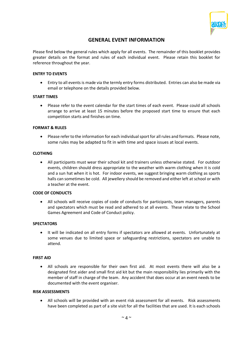

# **GENERAL EVENT INFORMATION**

Please find below the general rules which apply for all events. The remainder of this booklet provides greater details on the format and rules of each individual event. Please retain this booklet for reference throughout the year.

### **ENTRY TO EVENTS**

• Entry to all events is made via the termly entry forms distributed. Entries can also be made via email or telephone on the details provided below.

### **START TIMES**

• Please refer to the event calendar for the start times of each event. Please could all schools arrange to arrive at least 15 minutes before the proposed start time to ensure that each competition starts and finishes on time.

#### **FORMAT & RULES**

• Please refer to the information for each individual sport for all rules and formats. Please note, some rules may be adapted to fit in with time and space issues at local events.

#### **CLOTHING**

• All participants must wear their school kit and trainers unless otherwise stated. For outdoor events, children should dress appropriate to the weather with warm clothing when it is cold and a sun hat when it is hot. For indoor events, we suggest bringing warm clothing as sports halls can sometimes be cold. All jewellery should be removed and either left at school or with a teacher at the event.

### **CODE OF CONDUCTS**

• All schools will receive copies of code of conducts for participants, team managers, parents and spectators which must be read and adhered to at all events. These relate to the School Games Agreement and Code of Conduct policy.

### **SPECTATORS**

• It will be indicated on all entry forms if spectators are allowed at events. Unfortunately at some venues due to limited space or safeguarding restrictions, spectators are unable to attend.

#### **FIRST AID**

• All schools are responsible for their own first aid. At most events there will also be a designated first aider and small first aid kit but the main responsibility lies primarily with the member of staff in charge of the team. Any accident that does occur at an event needs to be documented with the event organiser.

#### **RISK ASSESSMENTS**

• All schools will be provided with an event risk assessment for all events. Risk assessments have been completed as part of a site visit for all the facilities that are used. It is each schools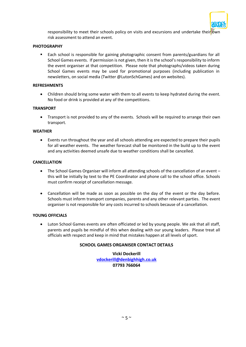

responsibility to meet their schools policy on visits and excursions and undertake their own risk assessment to attend an event.

### **PHOTOGRAPHY**

■ Each school is responsible for gaining photographic consent from parents/guardians for all School Games events. If permission is not given, then it is the school's responsibility to inform the event organiser at that competition. Please note that photographs/videos taken during School Games events may be used for promotional purposes (including publication in newsletters, on social media (Twitter @LutonSchGames) and on websites).

### **REFRESHMENTS**

• Children should bring some water with them to all events to keep hydrated during the event. No food or drink is provided at any of the competitions.

### **TRANSPORT**

• Transport is not provided to any of the events. Schools will be required to arrange their own transport.

#### **WEATHER**

• Events run throughout the year and all schools attending are expected to prepare their pupils for all weather events. The weather forecast shall be monitored in the build up to the event and any activities deemed unsafe due to weather conditions shall be cancelled.

#### **CANCELLATION**

- The School Games Organiser will inform all attending schools of the cancellation of an event this will be initially by text to the PE Coordinator and phone call to the school office. Schools must confirm receipt of cancellation message.
- Cancellation will be made as soon as possible on the day of the event or the day before. Schools must inform transport companies, parents and any other relevant parties. The event organiser is not responsible for any costs incurred to schools because of a cancellation.

#### **YOUNG OFFICIALS**

• Luton School Games events are often officiated or led by young people. We ask that all staff, parents and pupils be mindful of this when dealing with our young leaders. Please treat all officials with respect and keep in mind that mistakes happen at all levels of sport.

### **SCHOOL GAMES ORGANISER CONTACT DETAILS**

**Vicki Dockerill [vdockerill@denbighhigh.co.uk](mailto:vdockerill@denbighhigh.co.uk) 07793 766064**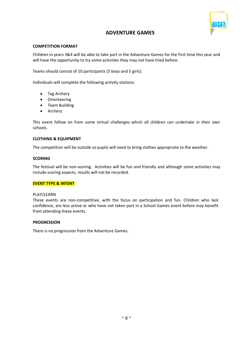

# **ADVENTURE GAMES**

### **COMPETITION FORMAT**

Children in years 3&4 will be able to take part in the Adventure Games for the first time this year and will have the opportunity to try some activities they may not have tried before.

Teams should consist of 10 participants (5 boys and 5 girls).

Individuals will complete the following activity stations:

- Tag Archery
- Orienteering
- Team Building
- Archery

This event follow on from some virtual challenges which all children can undertake in their own schools.

### **CLOTHING & EQUIPMENT**

The competition will be outside so pupils will need to bring clothes appropriate to the weather.

### **SCORING**

The festival will be non-scoring. Activities will be fun and friendly and although some activities may include scoring aspects, results will not be recorded.

### **EVENT TYPE & INTENT**

### PLAY/LEARN

These events are non-competitive, with the focus on participation and fun. Children who lack confidence, are less active or who have not taken part in a School Games event before may benefit from attending these events.

### **PROGRESSION**

There is no progression from the Adventure Games.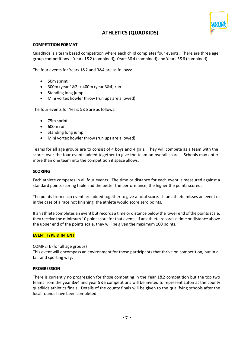

# **ATHLETICS (QUADKIDS)**

### **COMPETITION FORMAT**

QuadKids is a team based competition where each child completes four events. There are three age group competitions – Years 1&2 (combined), Years 3&4 (combined) and Years 5&6 (combined).

The four events for Years 1&2 and 3&4 are as follows:

- 50m sprint
- 300m (year 1&2) / 400m (year 3&4) run
- Standing long jump
- Mini vortex howler throw (run ups are allowed)

The four events for Years 5&6 are as follows:

- 75m sprint
- 600m run
- Standing long jump
- Mini vortex howler throw (run ups are allowed)

Teams for all age groups are to consist of 4 boys and 4 girls. They will compete as a team with the scores over the four events added together to give the team an overall score. Schools may enter more than one team into the competition if space allows.

#### **SCORING**

Each athlete competes in all four events. The time or distance for each event is measured against a standard points scoring table and the better the performance, the higher the points scored.

The points from each event are added together to give a total score. If an athlete misses an event or in the case of a race not finishing, the athlete would score zero points.

If an athlete completes an event but records a time or distance below the lower end of the points scale, they receive the minimum 10 point score for that event. If an athlete records a time or distance above the upper end of the points scale, they will be given the maximum 100 points.

### **EVENT TYPE & INTENT**

COMPETE (for all age groups)

This event will encompass an environment for those participants that thrive on competition, but in a fair and sporting way.

### **PROGRESSION**

There is currently no progression for those competing in the Year 1&2 competition but the top two teams from the year 3&4 and year 5&6 competitions will be invited to represent Luton at the county quadkids athletics finals. Details of the county finals will be given to the qualifying schools after the local rounds have been completed.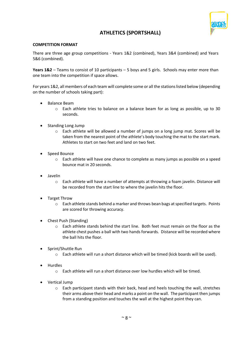

# **ATHLETICS (SPORTSHALL)**

### **COMPETITION FORMAT**

There are three age group competitions - Years 1&2 (combined), Years 3&4 (combined) and Years 5&6 (combined).

**Years 1&2** – Teams to consist of 10 participants – 5 boys and 5 girls. Schools may enter more than one team into the competition if space allows.

For years 1&2, all members of each team will complete some or all the stations listed below (depending on the number of schools taking part):

- Balance Beam
	- o Each athlete tries to balance on a balance beam for as long as possible, up to 30 seconds.
- Standing Long Jump
	- $\circ$  Each athlete will be allowed a number of jumps on a long jump mat. Scores will be taken from the nearest point of the athlete's body touching the mat to the start mark. Athletes to start on two feet and land on two feet.
- Speed Bounce
	- o Each athlete will have one chance to complete as many jumps as possible on a speed bounce mat in 20 seconds.
- Javelin
	- o Each athlete will have a number of attempts at throwing a foam javelin. Distance will be recorded from the start line to where the javelin hits the floor.
- Target Throw
	- o Each athlete stands behind a marker and throws bean bags at specified targets. Points are scored for throwing accuracy.
- Chest Push (Standing)
	- o Each athlete stands behind the start line. Both feet must remain on the floor as the athlete chest pushes a ball with two hands forwards. Distance will be recorded where the ball hits the floor.
- Sprint/Shuttle Run
	- $\circ$  Each athlete will run a short distance which will be timed (kick boards will be used).
- Hurdles
	- $\circ$  Each athlete will run a short distance over low hurdles which will be timed.
- Vertical Jump
	- o Each participant stands with their back, head and heels touching the wall, stretches their arms above their head and marks a point on the wall. The participant then jumps from a standing position and touches the wall at the highest point they can.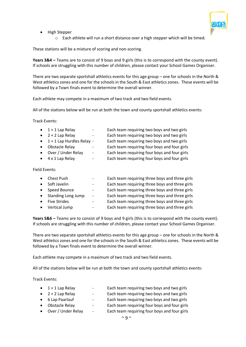

- High Stepper
	- o Each athlete will run a short distance over a high stepper which will be timed.

These stations will be a mixture of scoring and non-scoring.

**Years 3&4 –** Teams are to consist of 9 boys and 9 girls (this is to correspond with the county event). If schools are struggling with this number of children, please contact your School Games Organiser.

There are two separate sportshall athletics events for this age group – one for schools in the North & West athletics zones and one for the schools in the South & East athletics zones. These events will be followed by a Town finals event to determine the overall winner.

Each athlete may compete in a maximum of two track and two field events.

All of the stations below will be run at both the town and county sportshall athletics events:

Track Events:

| $1 + 1$ Lap Relay                   |                          | Each team requiring two boys and two girls   |
|-------------------------------------|--------------------------|----------------------------------------------|
| $2 + 2$ Lap Relay                   |                          | Each team requiring two boys and two girls   |
| $\bullet$ 1 + 1 Lap Hurdles Relay - |                          | Each team requiring two boys and two girls   |
| <b>Obstacle Relay</b>               |                          | Each team requiring four boys and four girls |
| Over / Under Relay                  | $\overline{\phantom{m}}$ | Each team requiring four boys and four girls |
| $\bullet$ 4 x 1 Lap Relay           |                          | Each team requiring four boys and four girls |
|                                     |                          |                                              |

Field Events:

|           | Chest Push                |                          | Each team requiring three boys and three girls |
|-----------|---------------------------|--------------------------|------------------------------------------------|
|           | Soft Javelin              |                          | Each team requiring three boys and three girls |
| $\bullet$ | Speed Bounce              | -                        | Each team requiring three boys and three girls |
| $\bullet$ | <b>Standing Long Jump</b> | $\overline{\phantom{0}}$ | Each team requiring three boys and three girls |
|           | <b>Five Strides</b>       | -                        | Each team requiring three boys and three girls |
|           | Vertical Jump             | -                        | Each team requiring three boys and three girls |
|           |                           |                          |                                                |

**Years 5&6 –** Teams are to consist of 9 boys and 9 girls (this is to correspond with the county event). If schools are struggling with this number of children, please contact your School Games Organiser.

There are two separate sportshall athletics events for this age group - one for schools in the North & West athletics zones and one for the schools in the South & East athletics zones. These events will be followed by a Town finals event to determine the overall winner.

Each athlete may compete in a maximum of two track and two field events.

All of the stations below will be run at both the town and county sportshall athletics events:

Track Events:

| $\bullet$ 1 + 1 Lap Relay | $\sim$ | Each team requiring two boys and two girls   |
|---------------------------|--------|----------------------------------------------|
| $\bullet$ 2 + 2 Lap Relay | $\sim$ | Each team requiring two boys and two girls   |
| • 6 Lap Paarlauf          | $\sim$ | Each team requiring two boys and two girls   |
| • Obstacle Relay          | $\sim$ | Each team requiring four boys and four girls |
| • Over / Under Relay      | $\sim$ | Each team requiring four boys and four girls |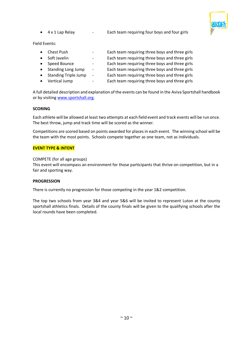

• 4 x 1 Lap Relay - Each team requiring four boys and four girls

Field Events:

|           | Chest Push                  | -                        | Each team requiring three boys and three girls |
|-----------|-----------------------------|--------------------------|------------------------------------------------|
|           | Soft Javelin                | $\overline{\phantom{0}}$ | Each team requiring three boys and three girls |
| $\bullet$ | Speed Bounce                |                          | Each team requiring three boys and three girls |
| $\bullet$ | <b>Standing Long Jump</b>   | $\overline{\phantom{a}}$ | Each team requiring three boys and three girls |
| $\bullet$ | <b>Standing Triple Jump</b> | $\overline{\phantom{a}}$ | Each team requiring three boys and three girls |
|           | Vertical Jump               | $\overline{\phantom{0}}$ | Each team requiring three boys and three girls |

A full detailed description and explanation of the events can be found in the Aviva Sportshall handbook or by visitin[g www.sportshall.org.](http://www.sportshall.org/)

### **SCORING**

Each athlete will be allowed at least two attempts at each field event and track events will be run once. The best throw, jump and track time will be scored as the winner.

Competitions are scored based on points awarded for places in each event. The winning school will be the team with the most points. Schools compete together as one team, not as individuals.

#### **EVENT TYPE & INTENT**

COMPETE (for all age groups)

This event will encompass an environment for those participants that thrive on competition, but in a fair and sporting way.

#### **PROGRESSION**

There is currently no progression for those competing in the year 1&2 competition.

The top two schools from year 3&4 and year 5&6 will be invited to represent Luton at the county sportshall athletics finals. Details of the county finals will be given to the qualifying schools after the local rounds have been completed.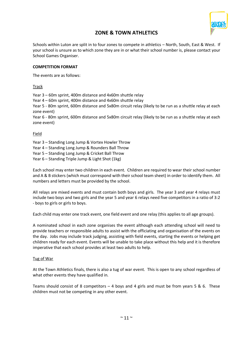

# **ZONE & TOWN ATHLETICS**

Schools within Luton are split in to four zones to compete in athletics – North, South, East & West. If your school is unsure as to which zone they are in or what their school number is, please contact your School Games Organiser.

### **COMPETITION FORMAT**

The events are as follows:

### Track

Year 3 – 60m sprint, 400m distance and 4x60m shuttle relay

Year 4 – 60m sprint, 400m distance and 4x60m shuttle relay

Year 5 - 80m sprint, 600m distance and 5x80m circuit relay (likely to be run as a shuttle relay at each zone event)

Year 6 - 80m sprint, 600m distance and 5x80m circuit relay (likely to be run as a shuttle relay at each zone event)

### Field

Year 3 – Standing Long Jump & Vortex Howler Throw

- Year 4 Standing Long Jump & Rounders Ball Throw
- Year 5 Standing Long Jump & Cricket Ball Throw
- Year 6 Standing Triple Jump & Light Shot (1kg)

Each school may enter two children in each event. Children are required to wear their school number and A & B stickers (which must correspond with their school team sheet) in order to identify them. All numbers and letters must be provided by the school.

All relays are mixed events and must contain both boys and girls. The year 3 and year 4 relays must include two boys and two girls and the year 5 and year 6 relays need five competitors in a ratio of 3:2 - boys to girls or girls to boys.

Each child may enter one track event, one field event and one relay (this applies to all age groups).

A nominated school in each zone organises the event although each attending school will need to provide teachers or responsible adults to assist with the officiating and organisation of the events on the day. Jobs may include track judging, assisting with field events, starting the events or helping get children ready for each event. Events will be unable to take place without this help and it is therefore imperative that each school provides at least two adults to help.

### Tug of War

At the Town Athletics finals, there is also a tug of war event. This is open to any school regardless of what other events they have qualified in.

Teams should consist of 8 competitors  $-4$  boys and 4 girls and must be from years 5 & 6. These children must not be competing in any other event.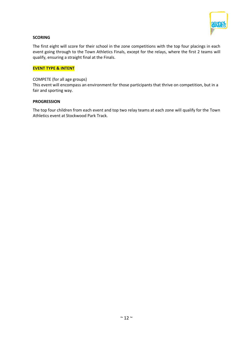

### **SCORING**

The first eight will score for their school in the zone competitions with the top four placings in each event going through to the Town Athletics Finals, except for the relays, where the first 2 teams will qualify, ensuring a straight final at the Finals.

### **EVENT TYPE & INTENT**

### COMPETE (for all age groups)

This event will encompass an environment for those participants that thrive on competition, but in a fair and sporting way.

### **PROGRESSION**

The top four children from each event and top two relay teams at each zone will qualify for the Town Athletics event at Stockwood Park Track.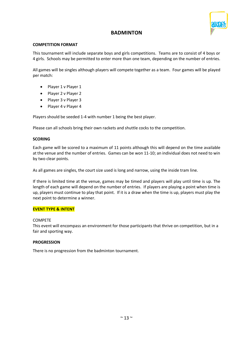

# **BADMINTON**

### **COMPETITION FORMAT**

This tournament will include separate boys and girls competitions. Teams are to consist of 4 boys or 4 girls. Schools may be permitted to enter more than one team, depending on the number of entries.

All games will be singles although players will compete together as a team. Four games will be played per match:

- Player 1 v Player 1
- Player 2 v Player 2
- Player 3 v Player 3
- Player 4 v Player 4

Players should be seeded 1-4 with number 1 being the best player.

Please can all schools bring their own rackets and shuttle cocks to the competition.

### **SCORING**

Each game will be scored to a maximum of 11 points although this will depend on the time available at the venue and the number of entries. Games can be won 11-10; an individual does not need to win by two clear points.

As all games are singles, the court size used is long and narrow, using the inside tram line.

If there is limited time at the venue, games may be timed and players will play until time is up. The length of each game will depend on the number of entries. If players are playing a point when time is up, players must continue to play that point. If it is a draw when the time is up, players must play the next point to determine a winner.

### **EVENT TYPE & INTENT**

### COMPETE

This event will encompass an environment for those participants that thrive on competition, but in a fair and sporting way.

### **PROGRESSION**

There is no progression from the badminton tournament.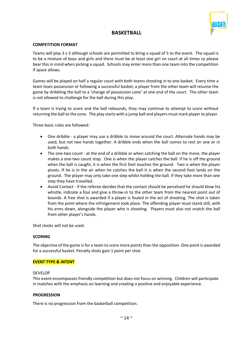

# **BASKETBALL**

### **COMPETITION FORMAT**

Teams will play 3 v 3 although schools are permitted to bring a squad of 5 to the event. The squad is to be a mixture of boys and girls and there must be at least one girl on court at all times so please bear this in mind when picking a squad. Schools may enter more than one team into the competition if space allows.

Games will be played on half a regular court with both teams shooting in to one basket. Every time a team loses possession or following a successful basket, a player from the other team will resume the game by dribbling the ball to a 'change of possession cone' at one end of the court. The other team is not allowed to challenge for the ball during this play.

If a team is trying to score and the ball rebounds, they may continue to attempt to score without returning the ball to the cone. The play starts with a jump ball and players must mark player to player.

Three basic rules are followed:

- One dribble a player may use a dribble to move around the court. Alternate hands may be used, but not two hands together. A dribble ends when the ball comes to rest on one or in both hands.
- The one-two count at the end of a dribble or when catching the ball on the move, the player makes a one-two count stop. One is when the player catches the ball. If he is off the ground when the ball is caught, it is when the first foot touches the ground. Two is when the player pivots. If he is in the air when he catches the ball it is when the second foot lands on the ground. The player may only take one step whilst holding the ball. If they take more than one step they have travelled.
- Avoid Contact if the referee decides that the contact should be penalised he should blow his whistle, indicate a foul and give a throw-in to the other team from the nearest point out of bounds. A free shot is awarded if a player is fouled in the act of shooting. The shot is taken from the point where the infringement took place. The offending player must stand still, with his arms down, alongside the player who is shooting. Players must also not snatch the ball from other player's hands.

Shot clocks will not be used.

### **SCORING**

The objective of the game is for a team to score more points than the opposition. One point is awarded for a successful basket. Penalty shots gain 1 point per shot.

### **EVENT TYPE & INTENT**

#### DEVELOP

This event encompasses friendly competition but does not focus on winning. Children will participate in matches with the emphasis on learning and creating a positive and enjoyable experience.

### **PROGRESSION**

There is no progression from the basketball competition.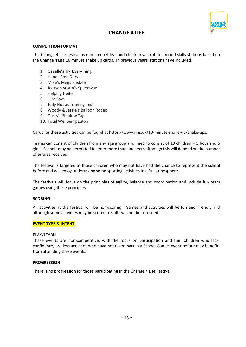

# **CHANGE 4 LIFE**

### **COMPETITION FORMAT**

The Change 4 Life festival is non-competitive and children will rotate around skills stations based on the Change 4 Life 10 minute shake up cards. In previous years, stations have included:

- 1. Gazelle's Try Everything
- 2. Hands Free Dory
- 3. Mike's Mega Frisbee
- 4. Jackson Storm's Speedway
- 5. Helping Heihei
- 6. Hiro Says
- 7. Judy Hopps Training Test
- 8. Woody & Jessie's Balloon Rodeo
- 9. Dusty's Shadow Tag
- 10. Total Wellbeing Luton

Cards for these activities can be found at https://www.nhs.uk/10-minute-shake-up/shake-ups.

Teams can consist of children from any age group and need to consist of 10 children – 5 boys and 5 girls. Schools may be permitted to enter more than one team although this will depend on the number of entries received.

The festival is targeted at those children who may not have had the chance to represent the school before and will enjoy undertaking some sporting activities in a fun atmosphere.

The festivals will focus on the principles of agility, balance and coordination and include fun team games using these principles.

### **SCORING**

All activities at the festival will be non-scoring. Games and activities will be fun and friendly and although some activities may be scored, results will not be recorded.

### **EVENT TYPE & INTENT**

#### PLAY/LEARN

These events are non-competitive, with the focus on participation and fun. Children who lack confidence, are less active or who have not taken part in a School Games event before may benefit from attending these events.

### **PROGRESSION**

There is no progression for those participating in the Change 4 Life Festival.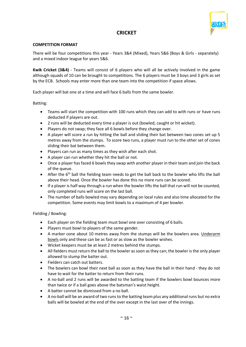

# **CRICKET**

### **COMPETITION FORMAT**

There will be four competitions this year - Years 3&4 (Mixed), Years 5&6 (Boys & Girls - separately) and a mixed indoor league for years 5&6.

**Kwik Cricket (3&4)** - Teams will consist of 6 players who will all be actively involved in the game although squads of 10 can be brought to competitions. The 6 players must be 3 boys and 3 girls as set by the ECB. Schools may enter more than one team into the competition if space allows.

Each player will bat one at a time and will face 6 balls from the same bowler.

Batting:

- Teams will start the competition with 100 runs which they can add to with runs or have runs deducted if players are out.
- 2 runs will be deducted every time a player is out (bowled, caught or hit wicket).
- Players do not swap; they face all 6 bowls before they change over.
- A player will score a run by hitting the ball and sliding their bat between two cones set up 5 metres away from the stumps. To score two runs, a player must run to the other set of cones sliding their bat between them.
- Players can run as many times as they wish after each shot.
- A player can run whether they hit the ball or not.
- Once a player has faced 6 bowls they swap with another player in their team and join the back of the queue.
- After the  $6<sup>th</sup>$  ball the fielding team needs to get the ball back to the bowler who lifts the ball above their head. Once the bowler has done this no more runs can be scored.
- If a player is half way through a run when the bowler lifts the ball that run will not be counted, only completed runs will score on the last ball.
- The number of balls bowled may vary depending on local rules and also time allocated for the competition. Some events may limit bowls to a maximum of 4 per bowler.

Fielding / Bowling:

- Each player on the fielding team must bowl one over consisting of 6 balls.
- Players must bowl to players of the same gender.
- A marker cone about 10 metres away from the stumps will be the bowlers area. Underarm bowls only and these can be as fast or as slow as the bowler wishes.
- Wicket keepers must be at least 2 metres behind the stumps.
- All fielders must return the ball to the bowler as soon as they can; the bowler is the only player allowed to stump the batter out.
- Fielders can catch out batters.
- The bowlers can bowl their next ball as soon as they have the ball in their hand they do not have to wait for the batter to return from their runs.
- A no-ball and 2 runs will be awarded to the batting team if the bowlers bowl bounces more than twice or if a ball goes above the batsman's waist height.
- A batter cannot be dismissed from a no ball.
- A no-ball will be an award of two runs to the batting team plus any additional runs but no extra balls will be bowled at the end of the over except in the last over of the innings.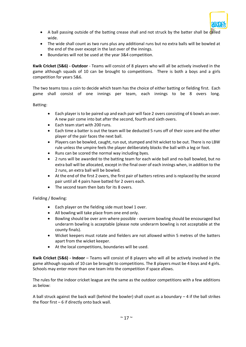

- A ball passing outside of the batting crease shall and not struck by the batter shall be called wide.
- The wide shall count as two runs plus any additional runs but no extra balls will be bowled at the end of the over except in the last over of the innings.
- Boundaries will not be used at the year 3&4 competition.

**Kwik Cricket (5&6) - Outdoor** - Teams will consist of 8 players who will all be actively involved in the game although squads of 10 can be brought to competitions. There is both a boys and a girls competition for years 5&6.

The two teams toss a coin to decide which team has the choice of either batting or fielding first. Each game shall consist of one innings per team, each innings to be 8 overs long.

Batting:

- Each player is to be paired up and each pair will face 2 overs consisting of 6 bowls an over. A new pair come into bat after the second, fourth and sixth overs.
- Each team start with 200 runs.
- Each time a batter is out the team will be deducted 5 runs off of their score and the other player of the pair faces the next ball.
- Players can be bowled, caught, run out, stumped and hit wicket to be out. There is no LBW rule unless the umpire feels the player deliberately blocks the ball with a leg or foot.
- Runs can be scored the normal way including byes.
- 2 runs will be awarded to the batting team for each wide ball and no-ball bowled, but no extra ball will be allocated, except in the final over of each innings when, in addition to the 2 runs, an extra ball will be bowled.
- At the end of the first 2 overs, the first pair of batters retires and is replaced by the second pair until all 4 pairs have batted for 2 overs each.
- The second team then bats for its 8 overs.

Fielding / Bowling:

- Each player on the fielding side must bowl 1 over.
- All bowling will take place from one end only.
- Bowling should be over arm where possible overarm bowling should be encouraged but underarm bowling is acceptable (please note underarm bowling is not acceptable at the county finals).
- Wicket keepers must rotate and fielders are not allowed within 5 metres of the batters apart from the wicket keeper.
- At the local competitions, boundaries will be used.

**Kwik Cricket (5&6) - Indoor** – Teams will consist of 8 players who will all be actively involved in the game although squads of 10 can be brought to competitions. The 8 players must be 4 boys and 4 girls. Schools may enter more than one team into the competition if space allows.

The rules for the indoor cricket league are the same as the outdoor competitions with a few additions as below:

A ball struck against the back wall (behind the bowler) shall count as a boundary  $-4$  if the ball strikes the floor first – 6 if directly onto back wall.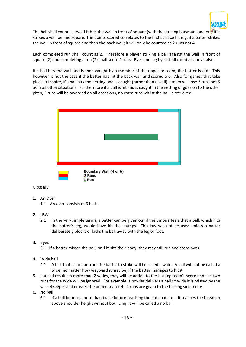

The ball shall count as two if it hits the wall in front of square (with the striking batsman) and one if it strikes a wall behind square. The points scored correlates to the first surface hit e.g. if a batter strikes the wall in front of square and then the back wall; it will only be counted as 2 runs not 4.

Each completed run shall count as 2. Therefore a player striking a ball against the wall in front of square (2) and completing a run (2) shall score 4 runs. Byes and leg byes shall count as above also.

If a ball hits the wall and is then caught by a member of the opposite team, the batter is out. This however is not the case if the batter has hit the back wall and scored a 6. Also for games that take place at Inspire, if a ball hits the netting and is caught (rather than a wall) a team will lose 3 runs not 5 as in all other situations. Furthermore if a ball is hit and is caught in the netting or goes on to the other pitch, 2 runs will be awarded on all occasions, no extra runs whilst the ball is retrieved.



### Glossary

- 1. An Over
	- 1.1 An over consists of 6 balls.
- 2. LBW
	- 2.1 In the very simple terms, a batter can be given out if the umpire feels that a ball, which hits the batter's leg, would have hit the stumps. This law will not be used unless a batter deliberately blocks or kicks the ball away with the leg or foot.
- 3. Byes
	- 3.1 If a batter misses the ball, or if it hits their body, they may still run and score byes.
- 4. Wide ball
	- 4.1 A ball that is too far from the batter to strike will be called a wide. A ball will not be called a wide, no matter how wayward it may be, if the batter manages to hit it.
- 5. If a ball results in more than 2 wides, they will be added to the batting team's score and the two runs for the wide will be ignored. For example, a bowler delivers a ball so wide it is missed by the wicketkeeper and crosses the boundary for 4. 4 runs are given to the batting side, not 6.
- 6. No ball
	- 6.1 If a ball bounces more than twice before reaching the batsman, of if it reaches the batsman above shoulder height without bouncing, it will be called a no ball.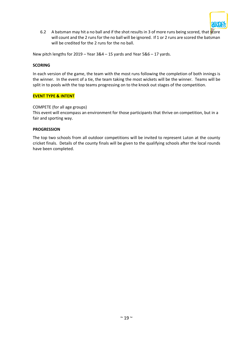

6.2 A batsman may hit a no ball and if the shot results in 3 of more runs being scored, that score will count and the 2 runs for the no ball will be ignored. If 1 or 2 runs are scored the batsman will be credited for the 2 runs for the no ball.

New pitch lengths for 2019 – Year 3&4 – 15 yards and Year 5&6 – 17 yards.

### **SCORING**

In each version of the game, the team with the most runs following the completion of both innings is the winner. In the event of a tie, the team taking the most wickets will be the winner. Teams will be split in to pools with the top teams progressing on to the knock out stages of the competition.

### **EVENT TYPE & INTENT**

### COMPETE (for all age groups)

This event will encompass an environment for those participants that thrive on competition, but in a fair and sporting way.

#### **PROGRESSION**

The top two schools from all outdoor competitions will be invited to represent Luton at the county cricket finals. Details of the county finals will be given to the qualifying schools after the local rounds have been completed.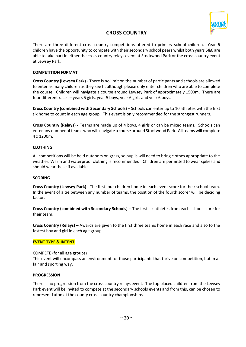

# **CROSS COUNTRY**

There are three different cross country competitions offered to primary school children. Year 6 children have the opportunity to compete with their secondary school peers whilst both years 5&6 are able to take part in either the cross country relays event at Stockwood Park or the cross country event at Lewsey Park.

### **COMPETITION FORMAT**

**Cross Country (Lewsey Park)** - There is no limit on the number of participants and schools are allowed to enter as many children as they see fit although please only enter children who are able to complete the course. Children will navigate a course around Lewsey Park of approximately 1500m. There are four different races – years 5 girls, year 5 boys, year 6 girls and year 6 boys.

**Cross Country (combined with Secondary Schools)** – Schools can enter up to 10 athletes with the first six home to count in each age group. This event is only recommended for the strongest runners.

**Cross Country (Relays) -** Teams are made up of 4 boys, 4 girls or can be mixed teams. Schools can enter any number of teams who will navigate a course around Stockwood Park.All teams will complete 4 x 1200m.

### **CLOTHING**

All competitions will be held outdoors on grass, so pupils will need to bring clothes appropriate to the weather. Warm and waterproof clothing is recommended. Children are permitted to wear spikes and should wear these if available.

### **SCORING**

**Cross Country (Lewsey Park)** - The first four children home in each event score for their school team. In the event of a tie between any number of teams, the position of the fourth scorer will be deciding factor.

**Cross Country (combined with Secondary Schools)** – The first six athletes from each school score for their team.

**Cross Country (Relays) –** Awards are given to the first three teams home in each race and also to the fastest boy and girl in each age group.

### **EVENT TYPE & INTENT**

COMPETE (for all age groups)

This event will encompass an environment for those participants that thrive on competition, but in a fair and sporting way.

### **PROGRESSION**

There is no progression from the cross country relays event. The top placed children from the Lewsey Park event will be invited to compete at the secondary schools events and from this, can be chosen to represent Luton at the county cross country championships.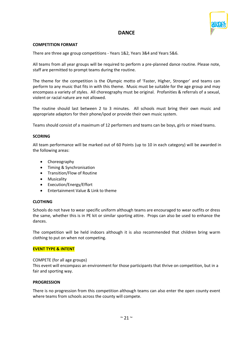

# **DANCE**

### **COMPETITION FORMAT**

There are three age group competitions - Years 1&2, Years 3&4 and Years 5&6.

All teams from all year groups will be required to perform a pre-planned dance routine. Please note, staff are permitted to prompt teams during the routine.

The theme for the competition is the Olympic motto of 'Faster, Higher, Stronger' and teams can perform to any music that fits in with this theme. Music must be suitable for the age group and may encompass a variety of styles. All choreography must be original. Profanities & referrals of a sexual, violent or racial nature are not allowed.

The routine should last between 2 to 3 minutes. All schools must bring their own music and appropriate adaptors for their phone/ipod or provide their own music system.

Teams should consist of a maximum of 12 performers and teams can be boys, girls or mixed teams.

### **SCORING**

All team performance will be marked out of 60 Points (up to 10 in each category) will be awarded in the following areas:

- Choreography
- Timing & Synchronisation
- Transition/Flow of Routine
- Musicality
- Execution/Energy/Effort
- Entertainment Value & Link to theme

### **CLOTHING**

Schools do not have to wear specific uniform although teams are encouraged to wear outfits or dress the same, whether this is in PE kit or similar sporting attire. Props can also be used to enhance the dances.

The competition will be held indoors although it is also recommended that children bring warm clothing to put on when not competing.

### **EVENT TYPE & INTENT**

### COMPETE (for all age groups)

This event will encompass an environment for those participants that thrive on competition, but in a fair and sporting way.

### **PROGRESSION**

There is no progression from this competition although teams can also enter the open county event where teams from schools across the county will compete.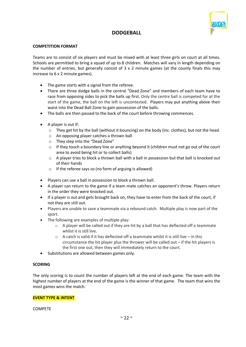

# **DODGEBALL**

### **COMPETITION FORMAT**

Teams are to consist of six players and must be mixed with at least three girls on court at all times. Schools are permitted to bring a squad of up to 8 children. Matches will vary in length depending on the number of entries, but generally consist of  $3 \times 2$  minute games (at the county finals this may increase to 6 x 2 minute games).

- The game starts with a signal from the referee.
- There are three dodge balls in the central "Dead Zone" and members of each team have to race from opposing sides to pick the balls up first. Only the centre ball is competed for at the start of the game, the ball on the left is uncontested. Players may put anything above their waist into the Dead Ball Zone to gain possession of the balls.
- The balls are then passed to the back of the court before throwing commences.
- A player is out if:
	- $\circ$  They get hit by the ball (without it bouncing) on the body (inc. clothes), but not the head.
	- o An opposing player catches a thrown ball
	- o They step into the "Dead Zone"
	- $\circ$  If they touch a boundary line or anything beyond it (children must not go out of the court area to avoid being hit or to collect balls)
	- o A player tries to block a thrown ball with a ball in possession but that ball is knocked out of their hands
	- o If the referee says so (no form of arguing is allowed)
- Players can use a ball in possession to block a thrown ball.
- A player can return to the game if a team mate catches an opponent's throw. Players return in the order they were knocked out.
- If a player is out and gets brought back on, they have to enter from the back of the court, if not they are still out.
- Players are unable to save a teammate via a rebound catch. Multiple play is now part of the sport.
- The following are examples of multiple play:
	- $\circ$  A player will be called out if they are hit by a ball that has deflected off a teammate whilst it is still live.
	- o A catch is valid if it has deflected off a teammate whilst it is still live in this circumstance the hit player plus the thrower will be called out – if the hit players is the first one out, then they will immediately return to the court.
- Substitutions are allowed between games only.

### **SCORING**

The only scoring is to count the number of players left at the end of each game. The team with the highest number of players at the end of the game is the winner of that game. The team that wins the most games wins the match.

### **EVENT TYPE & INTENT**

COMPETE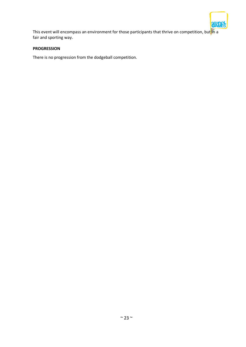

This event will encompass an environment for those participants that thrive on competition, but  $\|n\|$ fair and sporting way.

### **PROGRESSION**

There is no progression from the dodgeball competition.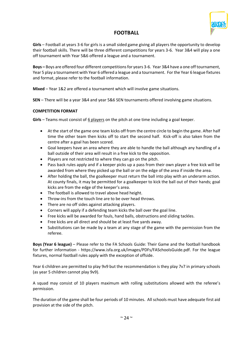

# **FOOTBALL**

**Girls** – Football at years 3-6 for girls is a small sided game giving all players the opportunity to develop their football skills. There will be three different competitions for years 3-6. Year 3&4 will play a one off tournament with Year 5&6 offered a league and a tournament.

**Boys –** Boys are offered four different competitions for years 3-6. Year 3&4 have a one off tournament, Year 5 play a tournament with Year 6 offered a league and a tournament. For the Year 6 league fixtures and format, please refer to the football information.

**Mixed** – Year 1&2 are offered a tournament which will involve game situations.

**SEN** – There will be a year 3&4 and year 5&6 SEN tournaments offered involving game situations.

### **COMPETITION FORMAT**

Girls – Teams must consist of 6 players on the pitch at one time including a goal keeper.

- At the start of the game one team kicks off from the centre circle to begin the game. After half time the other team then kicks off to start the second half. Kick-off is also taken from the centre after a goal has been scored.
- Goal keepers have an area where they are able to handle the ball although any handling of a ball outside of their area will result in a free kick to the opposition.
- Players are not restricted to where they can go on the pitch.
- Pass back rules apply and if a keeper picks up a pass from their own player a free kick will be awarded from where they picked up the ball or on the edge of the area if inside the area.
- After holding the ball, the goalkeeper must return the ball into play with an underarm action. At county finals, it may be permitted for a goalkeeper to kick the ball out of their hands; goal kicks are from the edge of the keeper's area.
- The football is allowed to travel above head height.
- Throw-ins from the touch line are to be over head throws.
- There are no off sides against attacking players.
- Corners will apply if a defending team kicks the ball over the goal line.
- Free kicks will be awarded for fouls, hand balls, obstructions and sliding tackles.
- Free kicks are all direct and should be at least five yards away.
- Substitutions can be made by a team at any stage of the game with the permission from the referee.

**Boys (Year 6 league)** – Please refer to the FA Schools Guide: Their Game and the football handbook for further information - https://www.isfa.org.uk/images/PDFs/FASchoolsGuide.pdf. For the league fixtures, normal football rules apply with the exception of offside.

Year 6 children are permitted to play 9v9 but the recommendation is they play 7v7 in primary schools (as year 5 children cannot play 9v9).

A squad may consist of 10 players maximum with rolling substitutions allowed with the referee's permission.

The duration of the game shall be four periods of 10 minutes. All schools must have adequate first aid provision at the side of the pitch.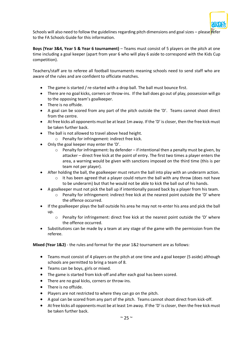

Schools will also need to follow the guidelines regarding pitch dimensions and goal sizes – please  $\ell$ efer to the FA Schools Guide for this information.

**Boys (Year 3&4, Year 5 & Year 6 tournament)** – Teams must consist of 5 players on the pitch at one time including a goal keeper (apart from year 6 who will play 6 aside to correspond with the Kids Cup competition).

Teachers/staff are to referee all football tournaments meaning schools need to send staff who are aware of the rules and are confident to officiate matches.

- The game is started / re-started with a drop ball. The ball must bounce first.
- There are no goal kicks, corners or throw-ins. If the ball does go out of play, possession will go to the opposing team's goalkeeper.
- There is no offside.
- A goal can be scored from any part of the pitch outside the 'D'. Teams cannot shoot direct from the centre.
- At free kicks all opponents must be at least 1m away. If the 'D' is closer, then the free kick must be taken further back.
- The ball is not allowed to travel above head height.
	- o Penalty for infringement: indirect free kick.
- Only the goal keeper may enter the 'D'.
	- $\circ$  Penalty for infringement: by defender if intentional then a penalty must be given, by attacker – direct free kick at the point of entry. The first two times a player enters the area, a warning would be given with sanctions imposed on the third time (this is per team not per player).
- After holding the ball, the goalkeeper must return the ball into play with an underarm action.
	- $\circ$  It has been agreed that a player could return the ball with any throw (does not have to be underarm) but that he would not be able to kick the ball out of his hands.
- A goalkeeper must not pick the ball up if intentionally passed back by a player from his team.
	- $\circ$  Penalty for infringement: indirect free kick at the nearest point outside the 'D' where the offence occurred.
- If the goalkeeper plays the ball outside his area he may not re-enter his area and pick the ball up.
	- $\circ$  Penalty for infringement: direct free kick at the nearest point outside the 'D' where the offence occurred.
- Substitutions can be made by a team at any stage of the game with the permission from the referee.

**Mixed (Year 1&2)** - the rules and format for the year 1&2 tournament are as follows:

- Teams must consist of 4 players on the pitch at one time and a goal keeper (5 aside) although schools are permitted to bring a team of 8.
- Teams can be boys, girls or mixed.
- The game is started from kick-off and after each goal has been scored.
- There are no goal kicks, corners or throw-ins.
- There is no offside.
- Players are not restricted to where they can go on the pitch.
- A goal can be scored from any part of the pitch. Teams cannot shoot direct from kick-off.
- At free kicks all opponents must be at least 1m away. If the 'D' is closer, then the free kick must be taken further back.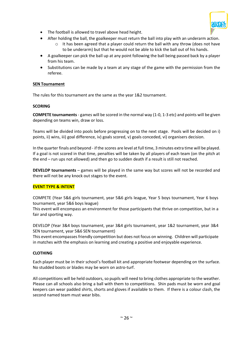

- The football is allowed to travel above head height.
- After holding the ball, the goalkeeper must return the ball into play with an underarm action.
	- $\circ$  It has been agreed that a player could return the ball with any throw (does not have to be underarm) but that he would not be able to kick the ball out of his hands.
- A goalkeeper can pick the ball up at any point following the ball being passed back by a player from his team.
- Substitutions can be made by a team at any stage of the game with the permission from the referee.

### **SEN Tournament**

The rules for this tournament are the same as the year 1&2 tournament.

### **SCORING**

**COMPETE tournaments**- games will be scored in the normal way (1-0, 1-3 etc) and points will be given depending on teams win, draw or loss.

Teams will be divided into pools before progressing on to the next stage. Pools will be decided on i) points, ii) wins, iii) goal difference, iv) goals scored, v) goals conceded, vi) organisers decision.

In the quarter finals and beyond - if the scores are level at full time, 3 minutes extra time will be played. If a goal is not scored in that time, penalties will be taken by all players of each team (on the pitch at the end – run ups not allowed) and then go to sudden death if a result is still not reached.

**DEVELOP tournaments** – games will be played in the same way but scores will not be recorded and there will not be any knock out stages to the event.

### **EVENT TYPE & INTENT**

COMPETE (Year 5&6 girls tournament, year 5&6 girls league, Year 5 boys tournament, Year 6 boys tournament, year 5&6 boys league)

This event will encompass an environment for those participants that thrive on competition, but in a fair and sporting way.

DEVELOP (Year 3&4 boys tournament, year 3&4 girls tournament, year 1&2 tournament, year 3&4 SEN tournament, year 5&6 SEN tournament)

This event encompasses friendly competition but does not focus on winning. Children will participate in matches with the emphasis on learning and creating a positive and enjoyable experience.

### **CLOTHING**

Each player must be in their school's football kit and appropriate footwear depending on the surface. No studded boots or blades may be worn on astro-turf.

All competitions will be held outdoors, so pupils will need to bring clothes appropriate to the weather. Please can all schools also bring a ball with them to competitions. Shin pads must be worn and goal keepers can wear padded shirts, shorts and gloves if available to them. If there is a colour clash, the second named team must wear bibs.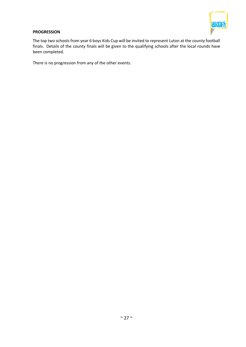

### **PROGRESSION**

The top two schools from year 6 boys Kids Cup will be invited to represent Luton at the county football finals. Details of the county finals will be given to the qualifying schools after the local rounds have been completed.

There is no progression from any of the other events.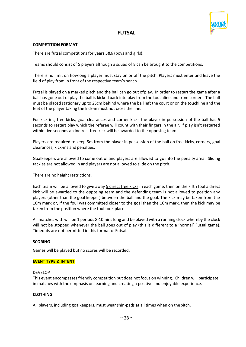

# **FUTSAL**

### **COMPETITION FORMAT**

There are futsal competitions for years 5&6 (boys and girls).

Teams should consist of 5 players although a squad of 8 can be brought to the competitions.

There is no limit on howlong a player must stay on or off the pitch. Players must enter and leave the field of play from in front of the respective team's bench.

Futsal is played on a marked pitch and the ball can go out ofplay. In order to restart the game after a ball has gone out of play the ball is kicked back into play from the touchline and from corners. The ball must be placed stationary up to 25cm behind where the ball left the court or on the touchline and the feet of the player taking the kick-in must not cross the line.

For kick-ins, free kicks, goal clearances and corner kicks the player in possession of the ball has 5 seconds to restart play which the referee will count with their fingers in the air. If play isn't restarted within five seconds an indirect free kick will be awarded to the opposing team.

Players are required to keep 5m from the player in possession of the ball on free kicks, corners, goal clearances, kick-ins and penalties.

Goalkeepers are allowed to come out of and players are allowed to go into the penalty area. Sliding tackles are not allowed in and players are not allowed to slide on the pitch.

There are no height restrictions.

Each team will be allowed to give away 5 direct free kicks in each game, then on the Fifth foul a direct kick will be awarded to the opposing team and the defending team is not allowed to position any players (other than the goal keeper) between the ball and the goal. The kick may be taken from the 10m mark or, if the foul was committed closer to the goal than the 10m mark, then the kick may be taken from the position where the foul took place.

All matches with will be 1 periods 8-10mins long and be played with a running clock whereby the clock will not be stopped whenever the ball goes out of play (this is different to a 'normal' Futsal game). Timeouts are not permitted in this format of Futsal.

### **SCORING**

Games will be played but no scores will be recorded.

### **EVENT TYPE & INTENT**

### DEVELOP

This event encompasses friendly competition but does not focus on winning. Children will participate in matches with the emphasis on learning and creating a positive and enjoyable experience.

### **CLOTHING**

All players, including goalkeepers, must wear shin-pads at all times when on thepitch.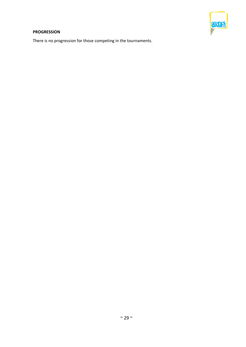

## **PROGRESSION**

There is no progression for those competing in the tournaments.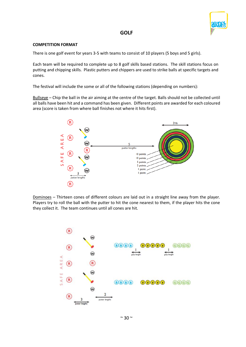

### **GOLF**

### **COMPETITION FORMAT**

There is one golf event for years 3-5 with teams to consist of 10 players (5 boys and 5 girls).

Each team will be required to complete up to 8 golf skills based stations. The skill stations focus on putting and chipping skills. Plastic putters and chippers are used to strike balls at specific targets and cones.

The festival will include the some or all of the following stations (depending on numbers):

Bullseye – Chip the ball in the air aiming at the centre of the target. Balls should not be collected until all balls have been hit and a command has been given. Different points are awarded for each coloured area (score is taken from where ball finishes not where it hits first).



Dominoes – Thirteen cones of different colours are laid out in a straight line away from the player. Players try to roll the ball with the putter to hit the cone nearest to them, if the player hits the cone they collect it. The team continues until all cones are hit.

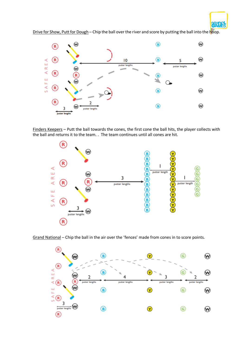

Drive for Show, Putt for Dough – Chip the ball over the river and score by putting the ball into the hoop.



Finders Keepers – Putt the ball towards the cones, the first cone the ball hits, the player collects with the ball and returns it to the team. . The team continues until all cones are hit.



Grand National – Chip the ball in the air over the 'fences' made from cones in to score points.

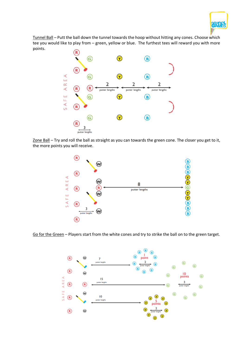

Tunnel Ball – Putt the ball down the tunnel towards the hoop without hitting any cones. Choose which tee you would like to play from – green, yellow or blue. The furthest tees will reward you with more points.



Zone Ball – Try and roll the ball as straight as you can towards the green cone. The closer you get to it, the more points you will receive.



Go for the Green – Players start from the white cones and try to strike the ball on to the green target.

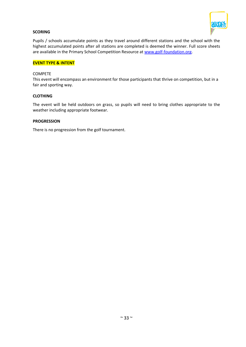

### **SCORING**

Pupils / schools accumulate points as they travel around different stations and the school with the highest accumulated points after all stations are completed is deemed the winner. Full score sheets are available in the Primary School Competition Resource at [www.golf-foundation.org.](http://www.golf-foundation.org/)

#### **EVENT TYPE & INTENT**

#### COMPETE

This event will encompass an environment for those participants that thrive on competition, but in a fair and sporting way.

#### **CLOTHING**

The event will be held outdoors on grass, so pupils will need to bring clothes appropriate to the weather including appropriate footwear.

#### **PROGRESSION**

There is no progression from the golf tournament.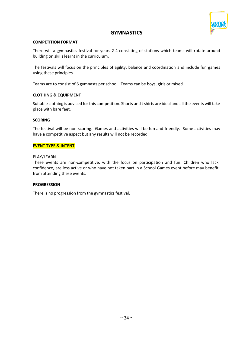

# **GYMNASTICS**

#### **COMPETITION FORMAT**

There will a gymnastics festival for years 2-4 consisting of stations which teams will rotate around building on skills learnt in the curriculum.

The festivals will focus on the principles of agility, balance and coordination and include fun games using these principles.

Teams are to consist of 6 gymnasts per school. Teams can be boys, girls or mixed.

#### **CLOTHING & EQUIPMENT**

Suitable clothing is advised for this competition. Shorts and t shirts are ideal and all the events will take place with bare feet.

#### **SCORING**

The festival will be non-scoring. Games and activities will be fun and friendly. Some activities may have a competitive aspect but any results will not be recorded.

### **EVENT TYPE & INTENT**

#### PLAY/LEARN

These events are non-competitive, with the focus on participation and fun. Children who lack confidence, are less active or who have not taken part in a School Games event before may benefit from attending these events.

### **PROGRESSION**

There is no progression from the gymnastics festival.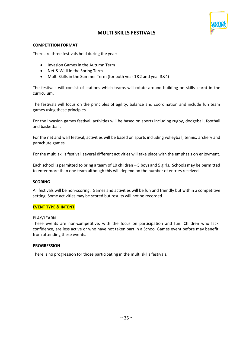# **MULTI SKILLS FESTIVALS**

### **COMPETITION FORMAT**

There are three festivals held during the year:

- Invasion Games in the Autumn Term
- Net & Wall in the Spring Term
- Multi Skills in the Summer Term (for both year 1&2 and year 3&4)

The festivals will consist of stations which teams will rotate around building on skills learnt in the curriculum.

The festivals will focus on the principles of agility, balance and coordination and include fun team games using these principles.

For the invasion games festival, activities will be based on sports including rugby, dodgeball, football and basketball.

For the net and wall festival, activities will be based on sports including volleyball, tennis, archery and parachute games.

For the multi skills festival, several different activities will take place with the emphasis on enjoyment.

Each school is permitted to bring a team of 10 children – 5 boys and 5 girls. Schools may be permitted to enter more than one team although this will depend on the number of entries received.

#### **SCORING**

All festivals will be non-scoring. Games and activities will be fun and friendly but within a competitive setting. Some activities may be scored but results will not be recorded.

### **EVENT TYPE & INTENT**

#### PLAY/LEARN

These events are non-competitive, with the focus on participation and fun. Children who lack confidence, are less active or who have not taken part in a School Games event before may benefit from attending these events.

#### **PROGRESSION**

There is no progression for those participating in the multi skills festivals.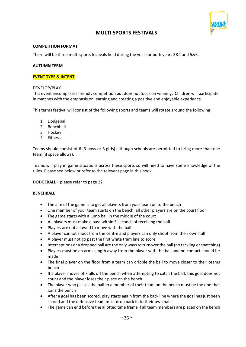

# **MULTI SPORTS FESTIVALS**

### **COMPETITION FORMAT**

There will be three multi sports festivals held during the year for both years 3&4 and 5&6.

### **AUTUMN TERM**

### **EVENT TYPE & INTENT**

### DEVELOP/PLAY

This event encompasses friendly competition but does not focus on winning. Children will participate in matches with the emphasis on learning and creating a positive and enjoyable experience.

This terms festival will consist of the following sports and teams will rotate around the following:

- 1. Dodgeball
- 2. Benchball
- 3. Hockey
- 4. Fitness

Teams should consist of 6 (3 boys or 3 girls) although schools are permitted to bring more than one team (if space allows).

Teams will play in game situations across these sports so will need to have some knowledge of the rules. Please see below or refer to the relevant page in this book.

**DODGEBALL** – please refer to page 22.

### **BENCHBALL**

- The aim of the game is to get all players from your team on to the bench
- One member of your team starts on the bench, all other players are on the court floor
- The game starts with a jump ball in the middle of the court
- All players must make a pass within 5 seconds of receiving the ball
- Players are not allowed to move with the ball
- A player cannot shoot from the centre and players can only shoot from their own half
- A player must not go past the first white tram line to score
- Interceptions or a dropped ball are the only ways to turnover the ball (no tackling or snatching)
- Players must be an arms length away from the player with the ball and no contact should be made
- The final player on the floor from a team can dribble the ball to move closer to their teams bench
- If a player moves off/falls off the bench when attempting to catch the ball, this goal does not count and the player loses their place on the bench
- The player who passes the ball to a member of their team on the bench must be the one that joins the bench
- After a goal has been scored, play starts again from the back line where the goal has just been scored and the defensive team must drop back in to their own half
- The game can end before the allotted time frame if all team members are placed on the bench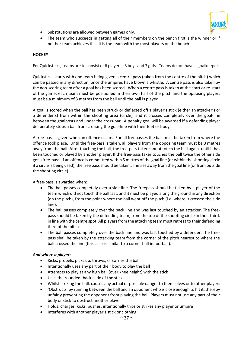

- Substitutions are allowed between games only.
- The team who succeeds in getting all of their members on the bench first is the winner or if neither team achieves this, it is the team with the most players on the bench.

#### **HOCKEY**

For Quicksticks, teams are to consist of 6 players - 3 boys and 3 girls. Teams do not have a goalkeeper.

Quicksticks starts with one team being given a centre pass (taken from the centre of the pitch) which can be passed in any direction, once the umpires have blown a whistle. A centre pass is also taken by the non-scoring team after a goal has been scored. When a centre pass is taken at the start or re-start of the game, each team must be positioned in their own half of the pitch and the opposing players must be a minimum of 3 metres from the ball until the ball is played.

A goal is scored when the ball has been struck or deflected off a player's stick (either an attacker's or a defender's) from within the shooting area (circle), and it crosses completely over the goal-line between the goalposts and under the cross-bar. A penalty goal will be awarded if a defending player deliberately stops a ball from crossing the goal-line with their feet or body.

A free-pass is given when an offence occurs. For all freepasses the ball must be taken from where the offence took place. Until the free-pass is taken, all players from the opposing team must be 3 metres away from the ball. After touching the ball, the free-pass taker cannot touch the ball again, until it has been touched or played by another player. If the free-pass taker touches the ball twice the other side get a free-pass. If an offence is committed within 5 metres of the goal line (or within the shooting circle if a circle is being used), the free pass should be taken 5 metres away from the goal line (or from outside the shooting circle).

A free-pass is awarded when:

- The ball passes completely over a side line. The freepass should be taken by a player of the team which did not touch the ball last, and it must be played along the ground in any direction (on the pitch), from the point where the ball went off the pitch (i.e. where it crossed the side line).
- The ball passes completely over the back line and was last touched by an attacker. The freepass should be taken by the defending team, from the top of the shooting circle in their third, in line with the centre spot. All players from the attacking team must retreat to their defending third of the pitch.
- The ball passes completely over the back line and was last touched by a defender. The freepass shall be taken by the attacking team from the corner of the pitch nearest to where the ball crossed the line (this case is similar to a corner ball in football).

#### *And where a player:*

- Kicks, propels, picks up, throws, or carries the ball
- Intentionally uses any part of their body to play the ball
- Attempts to play at any high ball (over knee height) with the stick
- Uses the rounded (back) side of the stick
- Whilst striking the ball, causes any actual or possible danger to themselves or to other players
- 'Obstructs' by running between the ball and an opponent who is close enough to hit it, thereby unfairly preventing the opponent from playing the ball. Players must not use any part of their body or stick to obstruct another player
- Holds, charges, kicks, pushes, intentionally trips or strikes any player or umpire
- Interferes with another player's stick or clothing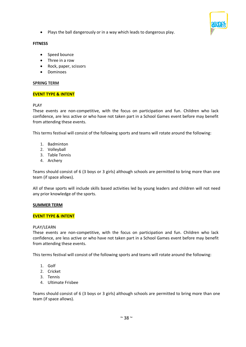

• Plays the ball dangerously or in a way which leads to dangerous play.

### **FITNESS**

- Speed bounce
- Three in a row
- Rock, paper, scissors
- Dominoes

### **SPRING TERM**

### **EVENT TYPE & INTENT**

### PLAY

These events are non-competitive, with the focus on participation and fun. Children who lack confidence, are less active or who have not taken part in a School Games event before may benefit from attending these events.

This terms festival will consist of the following sports and teams will rotate around the following:

- 1. Badminton
- 2. Volleyball
- 3. Table Tennis
- 4. Archery

Teams should consist of 6 (3 boys or 3 girls) although schools are permitted to bring more than one team (if space allows).

All of these sports will include skills based activities led by young leaders and children will not need any prior knowledge of the sports.

### **SUMMER TERM**

### **EVENT TYPE & INTENT**

### PLAY/LEARN

These events are non-competitive, with the focus on participation and fun. Children who lack confidence, are less active or who have not taken part in a School Games event before may benefit from attending these events.

This terms festival will consist of the following sports and teams will rotate around the following:

- 1. Golf
- 2. Cricket
- 3. Tennis
- 4. Ultimate Frisbee

Teams should consist of 6 (3 boys or 3 girls) although schools are permitted to bring more than one team (if space allows).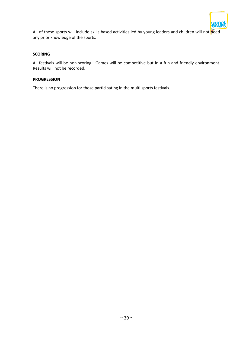

All of these sports will include skills based activities led by young leaders and children will not need any prior knowledge of the sports.

### **SCORING**

All festivals will be non-scoring. Games will be competitive but in a fun and friendly environment. Results will not be recorded.

### **PROGRESSION**

There is no progression for those participating in the multi sports festivals.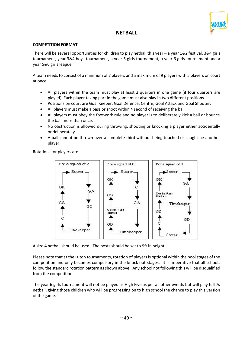

# **NETBALL**

### **COMPETITION FORMAT**

There will be several opportunities for children to play netball this year – a year 1&2 festival, 3&4 girls tournament, year 3&4 boys tournament, a year 5 girls tournament, a year 6 girls tournament and a year 5&6 girls league.

A team needs to consist of a minimum of 7 players and a maximum of 9 players with 5 players on court at once.

- All players within the team must play at least 2 quarters in one game (if four quarters are played). Each player taking part in the game must also play in two different positions.
- Positions on court are Goal Keeper, Goal Defence, Centre, Goal Attack and Goal Shooter.
- All players must make a pass or shoot within 4 second of receiving the ball.
- All players must obey the footwork rule and no player is to deliberately kick a ball or bounce the ball more than once.
- No obstruction is allowed during throwing, shooting or knocking a player either accidentally or deliberately.
- A ball cannot be thrown over a complete third without being touched or caught be another player.

Rotations for players are:



A size 4 netball should be used. The posts should be set to 9ft in height.

Please note that at the Luton tournaments, rotation of players is optional within the pool stages of the competition and only becomes compulsory in the knock out stages. It is imperative that all schools follow the standard rotation pattern as shown above. Any school not following this will be disqualified from the competition.

The year 6 girls tournament will not be played as High Five as per all other events but will play full 7s netball, giving those children who will be progressing on to high school the chance to play this version of the game.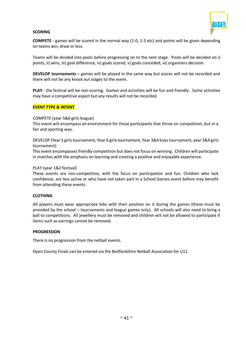

### **SCORING**

**COMPETE** - games will be scored in the normal way (1-0, 1-3 etc) and points will be given depending on teams win, draw or loss.

Teams will be divided into pools before progressing on to the next stage. Pools will be decided on i) points, ii) wins, iii) goal difference, iv) goals scored, v) goals conceded, vi) organisers decision.

**DEVELOP tournaments** – games will be played in the same way but scores will not be recorded and there will not be any knock out stages to the event.

**PLAY** - the festival will be non-scoring. Games and activities will be fun and friendly. Some activities may have a competitive aspect but any results will not be recorded.

### **EVENT TYPE & INTENT**

### COMPETE (year 5&6 girls league)

This event will encompass an environment for those participants that thrive on competition, but in a fair and sporting way.

DEVELOP (Year 5 girls tournament, Year 6 girls tournament, Year 3&4 boys tournament, year 3&4 girls tournament)

This event encompasses friendly competition but does not focus on winning. Children will participate in matches with the emphasis on learning and creating a positive and enjoyable experience.

### PLAY (year 1&2 festival)

These events are non-competitive, with the focus on participation and fun. Children who lack confidence, are less active or who have not taken part in a School Games event before may benefit from attending these events.

### **CLOTHING**

All players must wear appropriate bibs with their position on it during the games (these must be provided by the school – tournaments and league games only). All schools will also need to bring a ball to competitions. All jewellery must be removed and children will not be allowed to participate if items such as earrings cannot be removed.

### **PROGRESSION**

There is no progression from the netball events.

Open County Finals can be entered via the Bedfordshire Netball Association for U11.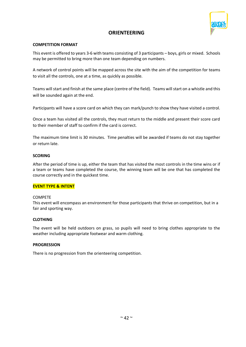

# **ORIENTEERING**

### **COMPETITION FORMAT**

This event is offered to years 3-6 with teams consisting of 3 participants – boys, girls or mixed. Schools may be permitted to bring more than one team depending on numbers.

A network of control points will be mapped across the site with the aim of the competition for teams to visit all the controls, one at a time, as quickly as possible.

Teams will start and finish at the same place (centre of the field). Teams will start on a whistle and this will be sounded again at the end.

Participants will have a score card on which they can mark/punch to show they have visited a control.

Once a team has visited all the controls, they must return to the middle and present their score card to their member of staff to confirm if the card is correct.

The maximum time limit is 30 minutes. Time penalties will be awarded if teams do not stay together or return late.

### **SCORING**

After the period of time is up, either the team that has visited the most controls in the time wins or if a team or teams have completed the course, the winning team will be one that has completed the course correctly and in the quickest time.

### **EVENT TYPE & INTENT**

### COMPETE

This event will encompass an environment for those participants that thrive on competition, but in a fair and sporting way.

### **CLOTHING**

The event will be held outdoors on grass, so pupils will need to bring clothes appropriate to the weather including appropriate footwear and warm clothing.

### **PROGRESSION**

There is no progression from the orienteering competition.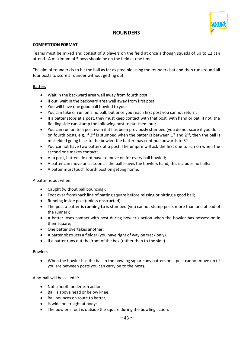

# **ROUNDERS**

### **COMPETITION FORMAT**

Teams must be mixed and consist of 9 players on the field at once although squads of up to 12 can attend. A maximum of 5 boys should be on the field at one time.

The aim of rounders is to hit the ball as far as possible using the rounders bat and then run around all four posts to score a rounder without getting out.

### Batters

- Wait in the backward area well away from fourth post;
- If out, wait in the backward area well away from first post;
- You will have one good ball bowled to you;
- You can take or run on a no ball, but once you reach first post you cannot return;
- If a batter stops at a post, they must keep contact with that post, with hand or bat. If not, the fielding side can stump the following post to put them out;
- You can run on to a post even if it has been previously stumped (you do not score if you do it on fourth post). e.g. If 3<sup>rd</sup> is stumped when the batter is between 1<sup>st</sup> and 2<sup>nd</sup>, then the ball is misfielded going back to the bowler, the batter may continue onwards to  $3<sup>rd</sup>$ ;
- You cannot have two batters at a post. The umpire will ask the first one to run on when the second one makes contact;
- At a post, batters do not have to move on for every ball bowled;
- A batter can move on as soon as the ball leaves the bowlers hand, this includes no balls;
- A batter must touch fourth post on getting home.

A batter is out when:

- Caught (without ball bouncing);
- Foot over front/back line of batting square before missing or hitting a good ball;
- Running inside post (unless obstructed);
- The post a batter **is running to** is stumped (you cannot stump posts more than one ahead of the runner);
- A batter loses contact with post during bowler's action when the bowler has possession in their square;
- One batter overtakes another;
- A batter obstructs a fielder (you have right of way on track only).
- If a batter runs out the front of the box (rather than to the side)

### Bowlers

• When the bowler has the ball in the bowling square any batters on a post cannot move on (if you are between posts you can carry on to the next).

A no-ball will be called if:

- Not smooth underarm action;
- Ball is above head or below knee;
- Ball bounces on route to batter;
- Is wide or straight at body;
- The bowler's foot is outside the square during the bowling action.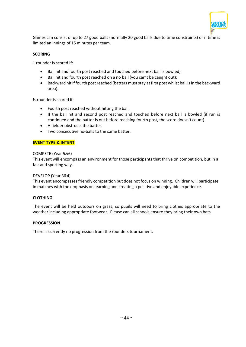

Games can consist of up to 27 good balls (normally 20 good balls due to time constraints) or if time is limited an innings of 15 minutes per team.

### **SCORING**

1 rounder is scored if:

- Ball hit and fourth post reached and touched before next ball is bowled;
- Ball hit and fourth post reached on a no ball (you can't be caught out);
- Backward hit if fourth post reached (batters must stay at first post whilst ball is in the backward area).

½ rounder is scored if:

- Fourth post reached without hitting the ball.
- If the ball hit and second post reached and touched before next ball is bowled (if run is continued and the batter is out before reaching fourth post, the score doesn't count).
- A fielder obstructs the batter.
- Two consecutive no-balls to the same batter.

### **EVENT TYPE & INTENT**

### COMPETE (Year 5&6)

This event will encompass an environment for those participants that thrive on competition, but in a fair and sporting way.

### DEVELOP (Year 3&4)

This event encompasses friendly competition but does not focus on winning. Children will participate in matches with the emphasis on learning and creating a positive and enjoyable experience.

### **CLOTHING**

The event will be held outdoors on grass, so pupils will need to bring clothes appropriate to the weather including appropriate footwear. Please can all schools ensure they bring their own bats.

### **PROGRESSION**

There is currently no progression from the rounders tournament.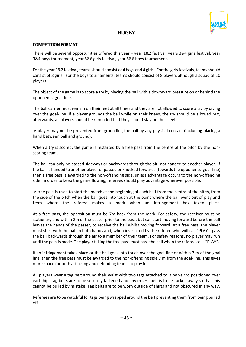

# **RUGBY**

### **COMPETITION FORMAT**

There will be several opportunities offered this year – year 1&2 festival, years 3&4 girls festival, year 3&4 boys tournament, year 5&6 girls festival, year 5&6 boys tournament..

For the year 1&2 festival, teams should consist of 4 boys and 4 girls. For the girls festivals, teams should consist of 8 girls. For the boys tournaments, teams should consist of 8 players although a squad of 10 players.

The object of the game is to score a try by placing the ball with a downward pressure on or behind the opponents' goal-line.

The ball carrier must remain on their feet at all times and they are not allowed to score a try by diving over the goal-line. If a player grounds the ball while on their knees, the try should be allowed but, afterwards, all players should be reminded that they should stay on their feet.

A player may not be prevented from grounding the ball by any physical contact (including placing a hand between ball and ground).

When a try is scored, the game is restarted by a free pass from the centre of the pitch by the nonscoring team.

The ball can only be passed sideways or backwards through the air, not handed to another player. If the ball is handed to another player or passed or knocked forwards (towards the opponents' goal-line) then a free pass is awarded to the non-offending side, unless advantage occurs to the non-offending side. In order to keep the game flowing, referees should play advantage wherever possible.

A free pass is used to start the match at the beginning of each half from the centre of the pitch, from the side of the pitch when the ball goes into touch at the point where the ball went out of play and from where the referee makes a mark when an infringement has taken place.

At a free pass, the opposition must be 7m back from the mark. For safety, the receiver must be stationary and within 2m of the passer prior to the pass, but can start moving forward before the ball leaves the hands of the passer, to receive the ball whilst moving forward. At a free pass, the player must start with the ball in both hands and, when instructed by the referee who will call "PLAY", pass the ball backwards through the air to a member of their team. For safety reasons, no player may run until the pass is made. The player taking the free pass must pass the ball when the referee calls "PLAY".

If an infringement takes place or the ball goes into touch over the goal-line or within 7 m of the goal line, then the free pass must be awarded to the non-offending side 7 m from the goal-line. This gives more space for both attacking and defending teams to play in.

All players wear a tag belt around their waist with two tags attached to it by velcro positioned over each hip. Tag belts are to be securely fastened and any excess belt is to be tucked away so that this cannot be pulled by mistake. Tag belts are to be worn outside of shirts and not obscured in any way.

Referees are to be watchful for tags being wrapped around the belt preventing them from being pulled off.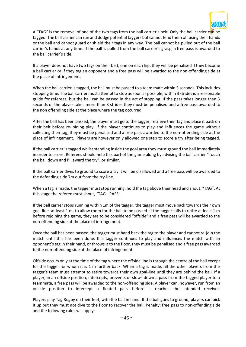

A "TAG" is the removal of one of the two tags from the ball carrier's belt. Only the ball carrier can be tagged. The ball carrier can run and dodge potential taggers but cannot fend them off using their hands or the ball and cannot guard or shield their tags in any way. The ball cannot be pulled out of the ball carrier's hands at any time. If the ball is pulled from the ball carrier's grasp, a free pass is awarded to the ball carrier's side.

If a player does not have two tags on their belt, one on each hip, they will be penalised if they become a ball carrier or if they tag an opponent and a free pass will be awarded to the non-offending side at the place of infringement.

When the ball carrier is tagged, the ball must be passed to a team mate within 3 seconds. This includes stopping time. The ball carrier must attempt to stop as soon as possible; within 3 strides is a reasonable guide for referees, but the ball can be passed in the act of stopping. If the pass takes longer than 3 seconds or the player takes more than 3 strides they must be penalised and a free pass awarded to the non offending side at the place where the tag occurred.

After the ball has been passed, the player must go to the tagger, retrieve their tag and place it back on their belt before re-joining play. If the player continues to play and influences the game without collecting their tag, they must be penalised and a free pass awarded to the non-offending side at the place of infringement. Players are however only allowed one step to score a try after being tagged.

If the ball carrier is tagged whilst standing inside the goal area they must ground the ball immediately in order to score. Referees should help this part of the game along by advising the ball carrier "Touch the ball down and I'll award the try", or similar.

If the ball carrier dives to ground to score a try it will be disallowed and a free pass will be awarded to the defending side 7m out from the try-line.

When a tag is made, the tagger must stop running, hold the tag above their head and shout, "TAG". At this stage the referee must shout, "TAG - PASS".

If the ball carrier stops running within 1m of the tagger, the tagger must move back towards their own goal-line, at least 1 m, to allow room for the ball to be passed. If the tagger fails to retire at least 1 m before rejoining the game, they are to be considered "offside" and a free pass will be awarded to the non-offending side at the place of infringement.

Once the ball has been passed, the tagger must hand back the tag to the player and cannot re-join the match until this has been done. If a tagger continues to play and influences the match with an opponent's tag in their hand, or throws it to the floor, they must be penalised and a free pass awarded to the non-offending side at the place of infringement.

Offside occurs only at the time of the tag where the offside line is through the centre of the ball except for the tagger for whom it is 1 m further back. When a tag is made, all the other players from the tagger's team must attempt to retire towards their own goal-line until they are behind the ball. If a player, in an offside position, intercepts, prevents or slows down a pass from the tagged player to a teammate, a free pass will be awarded to the non-offending side. A player can, however, run from an onside position to intercept a floated pass before it reaches the intended receiver.

Players play Tag Rugby on their feet, with the ball in hand. If the ball goes to ground, players can pick it up but they must not dive to the floor to recover the ball. Penalty: free pass to non-offending side and the following rules will apply: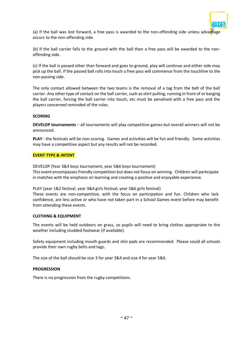

(a) If the ball was lost forward, a free pass is awarded to the non-offending side unless advartage occurs to the non-offending side.

(b) If the ball carrier falls to the ground with the ball then a free pass will be awarded to the nonoffending side.

(c) If the ball is passed other than forward and goes to ground, play will continue and either side may pick up the ball. If the passed ball rolls into touch a free pass will commence from the touchline to the non-passing side.

The only contact allowed between the two teams is the removal of a tag from the belt of the ball carrier. Any other type of contact on the ball carrier, such as shirt pulling, running in front of or barging the ball carrier, forcing the ball carrier into touch, etc must be penalised with a free pass and the players concerned reminded of the rules.

### **SCORING**

**DEVELOP tournaments** – all tournaments will play competitive games but overall winners will not be announced.

**PLAY** - the festivals will be non-scoring. Games and activities will be fun and friendly. Some activities may have a competitive aspect but any results will not be recorded.

### **EVENT TYPE & INTENT**

DEVELOP (Year 3&4 boys tournament, year 5&6 boys tournament) This event encompasses friendly competition but does not focus on winning. Children will participate in matches with the emphasis on learning and creating a positive and enjoyable experience.

PLAY (year 1&2 festival, year 3&4 girls festival, year 5&6 girls festival)

These events are non-competitive, with the focus on participation and fun. Children who lack confidence, are less active or who have not taken part in a School Games event before may benefit from attending these events.

### **CLOTHING & EQUIPMENT**

The events will be held outdoors on grass, so pupils will need to bring clothes appropriate to the weather including studded footwear (if available).

Safety equipment including mouth guards and shin pads are recommended. Please could all schools provide their own rugby belts and tags.

The size of the ball should be size 3 for year 3&4 and size 4 for year 5&6.

### **PROGRESSION**

There is no progression from the rugby competitions.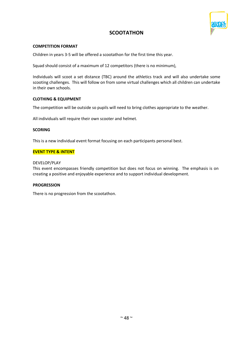

# **SCOOTATHON**

### **COMPETITION FORMAT**

Children in years 3-5 will be offered a scootathon for the first time this year.

Squad should consist of a maximum of 12 competitors (there is no minimum),

Individuals will scoot a set distance (TBC) around the athletics track and will also undertake some scooting challenges. This will follow on from some virtual challenges which all children can undertake in their own schools.

### **CLOTHING & EQUIPMENT**

The competition will be outside so pupils will need to bring clothes appropriate to the weather.

All individuals will require their own scooter and helmet.

### **SCORING**

This is a new individual event format focusing on each participants personal best.

### **EVENT TYPE & INTENT**

### DEVELOP/PLAY

This event encompasses friendly competition but does not focus on winning. The emphasis is on creating a positive and enjoyable experience and to support individual development.

### **PROGRESSION**

There is no progression from the scootathon.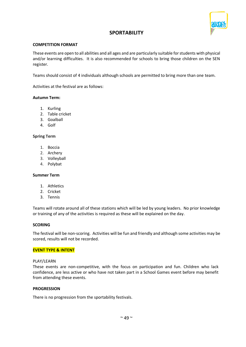

# **SPORTABILITY**

### **COMPETITION FORMAT**

These events are open to all abilities and all ages and are particularly suitable for students with physical and/or learning difficulties. It is also recommended for schools to bring those children on the SEN register.

Teams should consist of 4 individuals although schools are permitted to bring more than one team.

Activities at the festival are as follows:

### **Autumn Term:**

- 1. Kurling
- 2. Table cricket
- 3. Goalball
- 4. Golf

### **Spring Term**

- 1. Boccia
- 2. Archery
- 3. Volleyball
- 4. Polybat

### **Summer Term**

- 1. Athletics
- 2. Cricket
- 3. Tennis

Teams will rotate around all of these stations which will be led by young leaders. No prior knowledge or training of any of the activities is required as these will be explained on the day.

### **SCORING**

The festival will be non-scoring. Activities will be fun and friendly and although some activities may be scored, results will not be recorded.

### **EVENT TYPE & INTENT**

### PLAY/LEARN

These events are non-competitive, with the focus on participation and fun. Children who lack confidence, are less active or who have not taken part in a School Games event before may benefit from attending these events.

### **PROGRESSION**

There is no progression from the sportability festivals.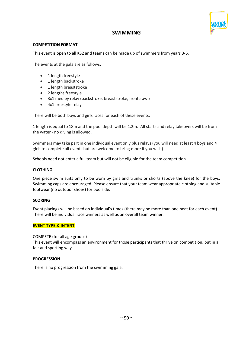

# **SWIMMING**

### **COMPETITION FORMAT**

This event is open to all KS2 and teams can be made up of swimmers from years 3-6.

The events at the gala are as follows:

- 1 length freestyle
- 1 length backstroke
- 1 length breaststroke
- 2 lengths freestyle
- 3x1 medley relay (backstroke, breaststroke, frontcrawl)
- 4x1 freestyle relay

There will be both boys and girls races for each of these events.

1 length is equal to 18m and the pool depth will be 1.2m. All starts and relay takeovers will be from the water - no diving is allowed.

Swimmers may take part in one individual event only plus relays (you will need at least 4 boys and 4 girls to complete all events but are welcome to bring more if you wish).

Schools need not enter a full team but will not be eligible for the team competition.

### **CLOTHING**

One piece swim suits only to be worn by girls and trunks or shorts (above the knee) for the boys. Swimming caps are encouraged. Please ensure that your team wear appropriate clothing and suitable footwear (no outdoor shoes) for poolside.

### **SCORING**

Event placings will be based on individual's times (there may be more than one heat for each event). There will be individual race winners as well as an overall team winner.

### **EVENT TYPE & INTENT**

### COMPETE (for all age groups)

This event will encompass an environment for those participants that thrive on competition, but in a fair and sporting way.

### **PROGRESSION**

There is no progression from the swimming gala.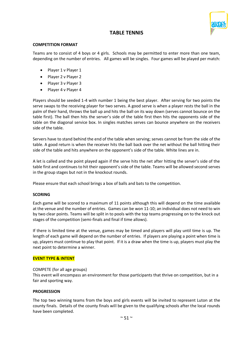

# **TABLE TENNIS**

### **COMPETITION FORMAT**

Teams are to consist of 4 boys or 4 girls. Schools may be permitted to enter more than one team, depending on the number of entries. All games will be singles. Four games will be played per match:

- Player 1 v Player 1
- Player 2 v Player 2
- Player 3 v Player 3
- Player 4 v Player 4

Players should be seeded 1-4 with number 1 being the best player. After serving for two points the serve swaps to the receiving player for two serves. A good serve is when a player rests the ball in the palm of their hand, throws the ball up and hits the ball on its way down (serves cannot bounce on the table first). The ball then hits the server's side of the table first then hits the opponents side of the table on the diagonal service box. In singles matches serves can bounce anywhere on the receivers side of the table.

Servers have to stand behind the end of the table when serving; serves cannot be from the side of the table. A good return is when the receiver hits the ball back over the net without the ball hitting their side of the table and hits anywhere on the opponent's side of the table. White lines are in.

A let is called and the point played again if the serve hits the net after hitting the server's side of the table first and continues to hit their opponent's side of the table. Teams will be allowed second serves in the group stages but not in the knockout rounds.

Please ensure that each school brings a box of balls and bats to the competition.

### **SCORING**

Each game will be scored to a maximum of 11 points although this will depend on the time available at the venue and the number of entries. Games can be won 11-10; an individual does not need to win by two clear points. Teams will be split in to pools with the top teams progressing on to the knock out stages of the competition (semi-finals and final if time allows).

If there is limited time at the venue, games may be timed and players will play until time is up. The length of each game will depend on the number of entries. If players are playing a point when time is up, players must continue to play that point. If it is a draw when the time is up, players must play the next point to determine a winner.

### **EVENT TYPE & INTENT**

### COMPETE (for all age groups)

This event will encompass an environment for those participants that thrive on competition, but in a fair and sporting way.

### **PROGRESSION**

The top two winning teams from the boys and girls events will be invited to represent Luton at the county finals. Details of the county finals will be given to the qualifying schools after the local rounds have been completed.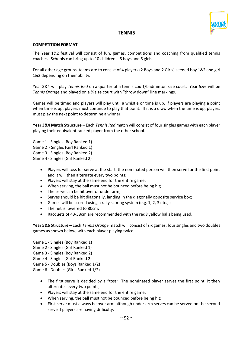

# **TENNIS**

### **COMPETITION FORMAT**

The Year 1&2 festival will consist of fun, games, competitions and coaching from qualified tennis coaches. Schools can bring up to 10 children – 5 boys and 5 girls.

For all other age groups, teams are to consist of 4 players (2 Boys and 2 Girls) seeded boy 1&2 and girl 1&2 depending on their ability.

Year 3&4 will play *Tennis Red* on a quarter of a tennis court/badminton size court. Year 5&6 will be *Tennis Orange* and played on a ¾ size court with "throw down" line markings.

Games will be timed and players will play until a whistle or time is up. If players are playing a point when time is up, players must continue to play that point. If it is a draw when the time is up, players must play the next point to determine a winner.

**Year 3&4 Match Structure –** Each *Tennis Red* match will consist of four singles games with each player playing their equivalent ranked player from the other school.

- Game 1 Singles (Boy Ranked 1)
- Game 2 Singles (Girl Ranked 1)
- Game 3 Singles (Boy Ranked 2)
- Game 4 Singles (Girl Ranked 2)
	- Players will toss for serve at the start, the nominated person will then serve for the first point and it will then alternate every two points;
	- Players will stay at the same end for the entire game;
	- When serving, the ball must not be bounced before being hit;
	- The serve can be hit over or under arm;
	- Serves should be hit diagonally, landing in the diagonally opposite service box;
	- Games will be scored using a rally scoring system (e.g. 1, 2, 3 etc.);
	- The net is lowered to 80cm;
	- Racquets of 43-58cm are recommended with the red&yellow balls being used.

**Year 5&6 Structure –** Each *Tennis Orange* match will consist of six games: four singles and two doubles games as shown below, with each player playing twice:

- Game 1 Singles (Boy Ranked 1)
- Game 2 Singles (Girl Ranked 1)
- Game 3 Singles (Boy Ranked 2)
- Game 4 Singles (Girl Ranked 2)
- Game 5 Doubles (Boys Ranked 1/2)
- Game 6 Doubles (Girls Ranked 1/2)
	- The first serve is decided by a "toss". The nominated player serves the first point, it then alternates every two points;
	- Players will stay at the same end for the entire game;
	- When serving, the ball must not be bounced before being hit;
	- First serve must always be over arm although under arm serves can be served on the second serve if players are having difficulty.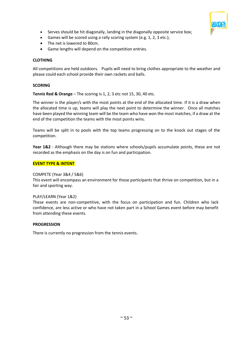

- Serves should be hit diagonally, landing in the diagonally opposite service box;
- Games will be scored using a rally scoring system (e.g. 1, 2, 3 etc.);
- The net is lowered to 80cm.
- Game lengths will depend on the competition entries.

### **CLOTHING**

All competitions are held outdoors. Pupils will need to bring clothes appropriate to the weather and please could each school provide their own rackets and balls.

### **SCORING**

**Tennis Red & Orange** – The scoring is 1, 2, 3 etc not 15, 30, 40 etc.

The winner is the player/s with the most points at the end of the allocated time. If it is a draw when the allocated time is up, teams will play the next point to determine the winner. Once all matches have been played the winning team will be the team who have won the most matches, if a draw at the end of the competition the teams with the most points wins.

Teams will be split in to pools with the top teams progressing on to the knock out stages of the competition.

**Year 1&2** - Although there may be stations where schools/pupils accumulate points, these are not recorded as the emphasis on the day is on fun and participation.

### **EVENT TYPE & INTENT**

### COMPETE (Year 3&4 / 5&6)

This event will encompass an environment for those participants that thrive on competition, but in a fair and sporting way.

### PLAY/LEARN (Year 1&2)

These events are non-competitive, with the focus on participation and fun. Children who lack confidence, are less active or who have not taken part in a School Games event before may benefit from attending these events.

### **PROGRESSION**

There is currently no progression from the tennis events.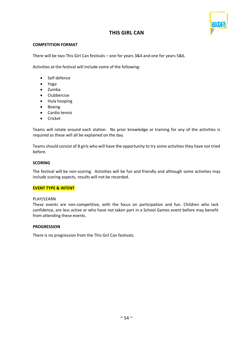

# **THIS GIRL CAN**

### **COMPETITION FORMAT**

There will be two This Girl Can festivals – one for years 3&4 and one for years 5&6.

Activities at the festival will include some of the following:

- Self defence
- Yoga
- Zumba
- Clubbercise
- Hula hooping
- Boxing
- Cardio tennis
- Cricket

Teams will rotate around each station. No prior knowledge or training for any of the activities is required as these will all be explained on the day.

Teams should consist of 8 girls who will have the opportunity to try some activities they have not tried before.

### **SCORING**

The festival will be non-scoring. Activities will be fun and friendly and although some activities may include scoring aspects, results will not be recorded.

### **EVENT TYPE & INTENT**

### PLAY/LEARN

These events are non-competitive, with the focus on participation and fun. Children who lack confidence, are less active or who have not taken part in a School Games event before may benefit from attending these events.

### **PROGRESSION**

There is no progression from the This Girl Can festivals.